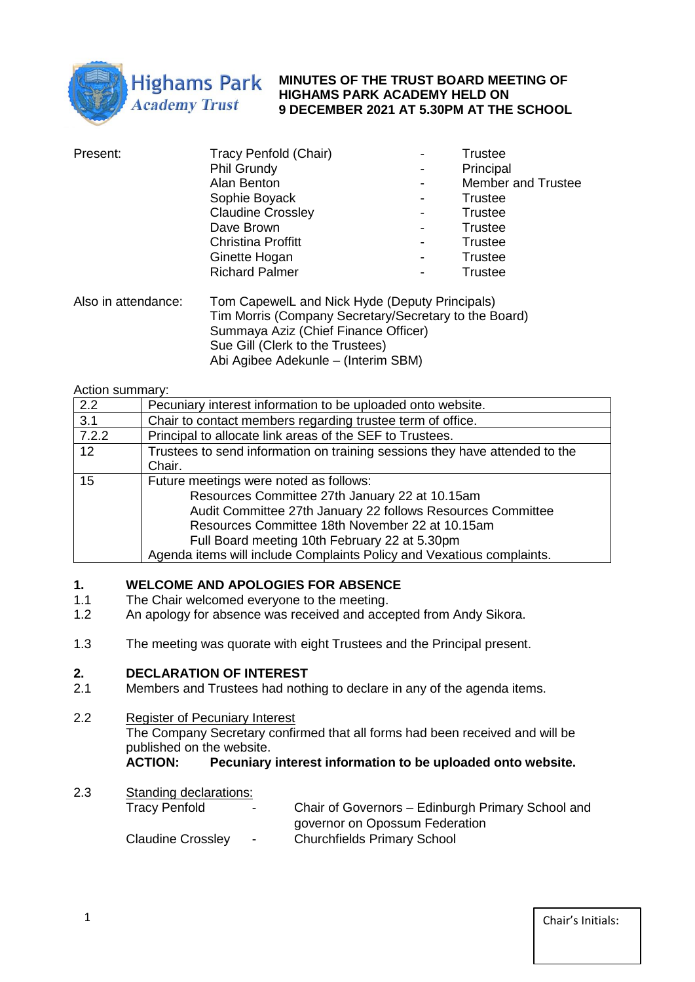

**MINUTES OF THE TRUST BOARD MEETING OF HIGHAMS PARK ACADEMY HELD ON 9 DECEMBER 2021 AT 5.30PM AT THE SCHOOL**

| Present: | Tracy Penfold (Chair)     |   | <b>Trustee</b>            |
|----------|---------------------------|---|---------------------------|
|          | Phil Grundy               |   | Principal                 |
|          | Alan Benton               |   | <b>Member and Trustee</b> |
|          | Sophie Boyack             | ۰ | <b>Trustee</b>            |
|          | <b>Claudine Crossley</b>  | ۰ | <b>Trustee</b>            |
|          | Dave Brown                |   | <b>Trustee</b>            |
|          | <b>Christina Proffitt</b> |   | <b>Trustee</b>            |
|          | Ginette Hogan             |   | <b>Trustee</b>            |
|          | <b>Richard Palmer</b>     | ۰ | <b>Trustee</b>            |
|          |                           |   |                           |

Also in attendance: Tom CapewelL and Nick Hyde (Deputy Principals) Tim Morris (Company Secretary/Secretary to the Board) Summaya Aziz (Chief Finance Officer) Sue Gill (Clerk to the Trustees) Abi Agibee Adekunle – (Interim SBM)

#### Action summary:

| 2.2   | Pecuniary interest information to be uploaded onto website.                 |
|-------|-----------------------------------------------------------------------------|
| 3.1   | Chair to contact members regarding trustee term of office.                  |
| 7.2.2 | Principal to allocate link areas of the SEF to Trustees.                    |
| 12    | Trustees to send information on training sessions they have attended to the |
|       | Chair.                                                                      |
| 15    | Future meetings were noted as follows:                                      |
|       | Resources Committee 27th January 22 at 10.15am                              |
|       | Audit Committee 27th January 22 follows Resources Committee                 |
|       | Resources Committee 18th November 22 at 10.15am                             |
|       | Full Board meeting 10th February 22 at 5.30pm                               |
|       | Agenda items will include Complaints Policy and Vexatious complaints.       |

# **1. WELCOME AND APOLOGIES FOR ABSENCE**

- 1.1 The Chair welcomed everyone to the meeting.
- 1.2 An apology for absence was received and accepted from Andy Sikora.
- 1.3 The meeting was quorate with eight Trustees and the Principal present.

# **2. DECLARATION OF INTEREST**

2.1 Members and Trustees had nothing to declare in any of the agenda items.

#### 2.2 Register of Pecuniary Interest

The Company Secretary confirmed that all forms had been received and will be published on the website.

**ACTION: Pecuniary interest information to be uploaded onto website.**

2.3 Standing declarations: Tracy Penfold - Chair of Governors – Edinburgh Primary School and governor on Opossum Federation Claudine Crossley - Churchfields Primary School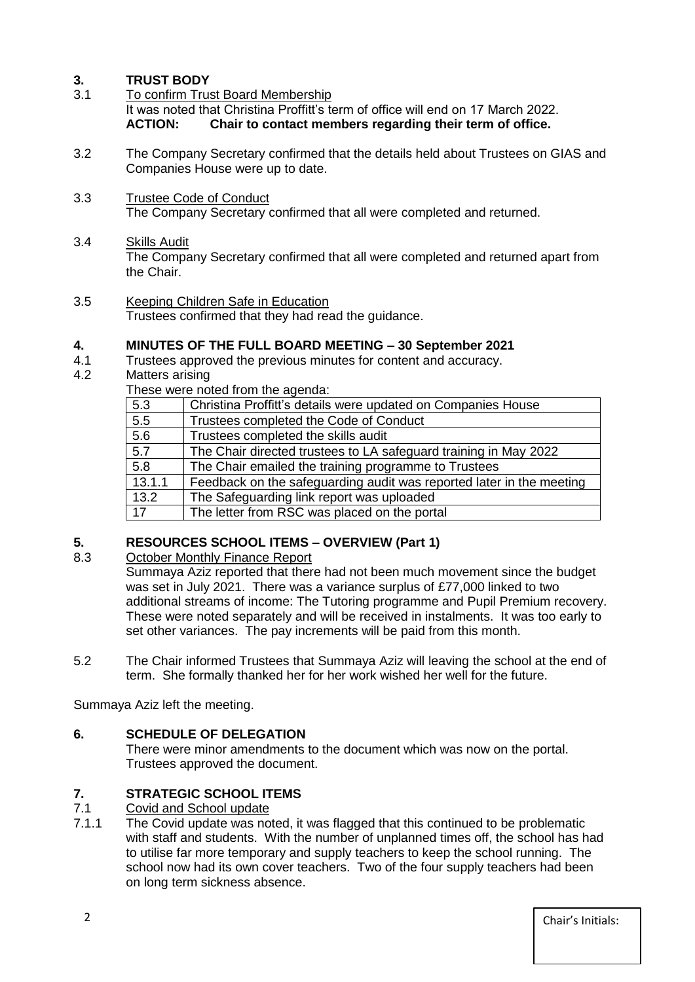# **3. TRUST BODY**

- 3.1 To confirm Trust Board Membership It was noted that Christina Proffitt's term of office will end on 17 March 2022. **ACTION: Chair to contact members regarding their term of office.**
- 3.2 The Company Secretary confirmed that the details held about Trustees on GIAS and Companies House were up to date.
- 3.3 Trustee Code of Conduct The Company Secretary confirmed that all were completed and returned.
- 3.4 Skills Audit

The Company Secretary confirmed that all were completed and returned apart from the Chair.

3.5 Keeping Children Safe in Education Trustees confirmed that they had read the guidance.

# **4. MINUTES OF THE FULL BOARD MEETING – 30 September 2021**

- 4.1 Trustees approved the previous minutes for content and accuracy.
- 4.2 Matters arising

These were noted from the agenda:

|                  | <u>THOUGHOLD HOLDGEHOLD LIDE GOODIGG.</u>                            |  |  |
|------------------|----------------------------------------------------------------------|--|--|
| 5.3              | Christina Proffitt's details were updated on Companies House         |  |  |
| 5.5              | Trustees completed the Code of Conduct                               |  |  |
| 5.6              | Trustees completed the skills audit                                  |  |  |
| 5.7              | The Chair directed trustees to LA safeguard training in May 2022     |  |  |
| $\overline{5.8}$ | The Chair emailed the training programme to Trustees                 |  |  |
| 13.1.1           | Feedback on the safeguarding audit was reported later in the meeting |  |  |
| 13.2             | The Safeguarding link report was uploaded                            |  |  |
| 17               | The letter from RSC was placed on the portal                         |  |  |

# **5. RESOURCES SCHOOL ITEMS – OVERVIEW (Part 1)**

## 8.3 October Monthly Finance Report

Summaya Aziz reported that there had not been much movement since the budget was set in July 2021. There was a variance surplus of £77,000 linked to two additional streams of income: The Tutoring programme and Pupil Premium recovery. These were noted separately and will be received in instalments. It was too early to set other variances. The pay increments will be paid from this month.

5.2 The Chair informed Trustees that Summaya Aziz will leaving the school at the end of term. She formally thanked her for her work wished her well for the future.

Summaya Aziz left the meeting.

# **6. SCHEDULE OF DELEGATION**

There were minor amendments to the document which was now on the portal. Trustees approved the document.

# **7. STRATEGIC SCHOOL ITEMS**

## 7.1 Covid and School update

7.1.1 The Covid update was noted, it was flagged that this continued to be problematic with staff and students. With the number of unplanned times off, the school has had to utilise far more temporary and supply teachers to keep the school running. The school now had its own cover teachers. Two of the four supply teachers had been on long term sickness absence.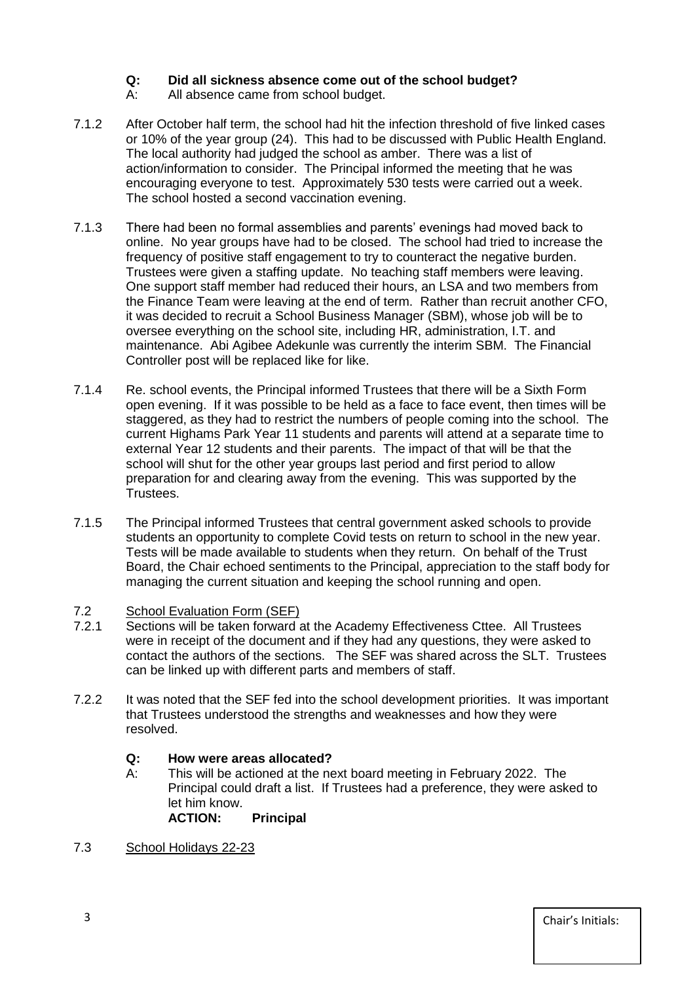# **Q: Did all sickness absence come out of the school budget?**

- A: All absence came from school budget.
- 7.1.2 After October half term, the school had hit the infection threshold of five linked cases or 10% of the year group (24). This had to be discussed with Public Health England. The local authority had judged the school as amber. There was a list of action/information to consider. The Principal informed the meeting that he was encouraging everyone to test. Approximately 530 tests were carried out a week. The school hosted a second vaccination evening.
- 7.1.3 There had been no formal assemblies and parents' evenings had moved back to online. No year groups have had to be closed. The school had tried to increase the frequency of positive staff engagement to try to counteract the negative burden. Trustees were given a staffing update. No teaching staff members were leaving. One support staff member had reduced their hours, an LSA and two members from the Finance Team were leaving at the end of term. Rather than recruit another CFO, it was decided to recruit a School Business Manager (SBM), whose job will be to oversee everything on the school site, including HR, administration, I.T. and maintenance. Abi Agibee Adekunle was currently the interim SBM. The Financial Controller post will be replaced like for like.
- 7.1.4 Re. school events, the Principal informed Trustees that there will be a Sixth Form open evening. If it was possible to be held as a face to face event, then times will be staggered, as they had to restrict the numbers of people coming into the school. The current Highams Park Year 11 students and parents will attend at a separate time to external Year 12 students and their parents. The impact of that will be that the school will shut for the other year groups last period and first period to allow preparation for and clearing away from the evening. This was supported by the Trustees.
- 7.1.5 The Principal informed Trustees that central government asked schools to provide students an opportunity to complete Covid tests on return to school in the new year. Tests will be made available to students when they return. On behalf of the Trust Board, the Chair echoed sentiments to the Principal, appreciation to the staff body for managing the current situation and keeping the school running and open.

# 7.2 School Evaluation Form (SEF)

- 7.2.1 Sections will be taken forward at the Academy Effectiveness Cttee. All Trustees were in receipt of the document and if they had any questions, they were asked to contact the authors of the sections. The SEF was shared across the SLT. Trustees can be linked up with different parts and members of staff.
- 7.2.2 It was noted that the SEF fed into the school development priorities. It was important that Trustees understood the strengths and weaknesses and how they were resolved.

## **Q: How were areas allocated?**

- A: This will be actioned at the next board meeting in February 2022. The Principal could draft a list. If Trustees had a preference, they were asked to let him know.<br>**ACTION: Principal**
- 7.3 School Holidays 22-23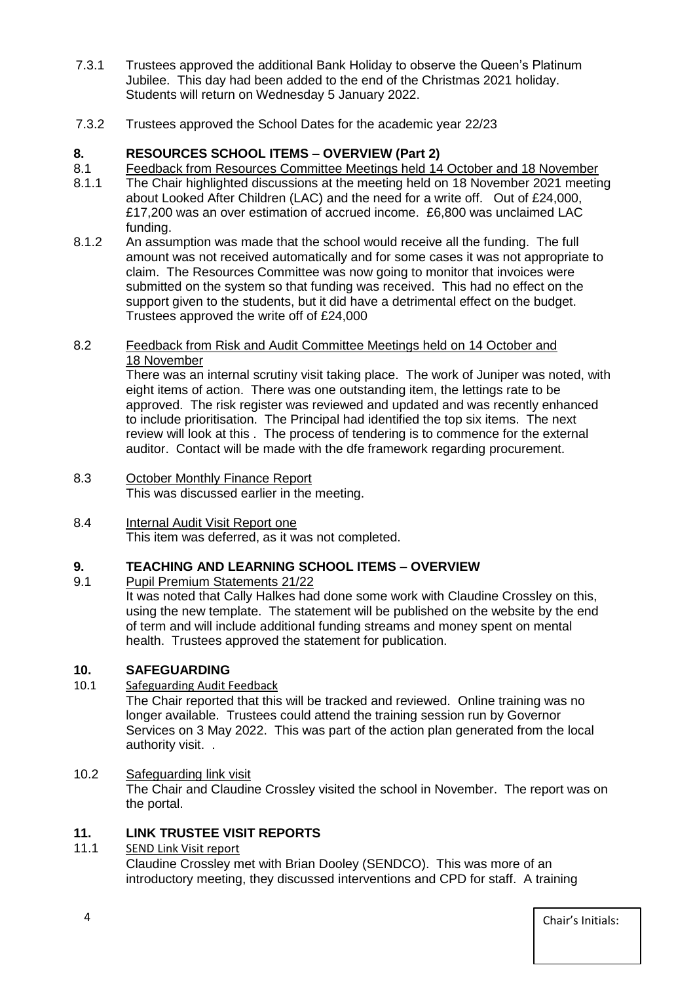- 7.3.1 Trustees approved the additional Bank Holiday to observe the Queen's Platinum Jubilee. This day had been added to the end of the Christmas 2021 holiday. Students will return on Wednesday 5 January 2022.
- 7.3.2 Trustees approved the School Dates for the academic year 22/23

# **8. RESOURCES SCHOOL ITEMS – OVERVIEW (Part 2)**

- 8.1 Feedback from Resources Committee Meetings held 14 October and 18 November
- 8.1.1 The Chair highlighted discussions at the meeting held on 18 November 2021 meeting about Looked After Children (LAC) and the need for a write off. Out of £24,000, £17,200 was an over estimation of accrued income. £6,800 was unclaimed LAC funding.
- 8.1.2 An assumption was made that the school would receive all the funding. The full amount was not received automatically and for some cases it was not appropriate to claim. The Resources Committee was now going to monitor that invoices were submitted on the system so that funding was received. This had no effect on the support given to the students, but it did have a detrimental effect on the budget. Trustees approved the write off of £24,000

## 8.2 Feedback from Risk and Audit Committee Meetings held on 14 October and 18 November

There was an internal scrutiny visit taking place. The work of Juniper was noted, with eight items of action. There was one outstanding item, the lettings rate to be approved. The risk register was reviewed and updated and was recently enhanced to include prioritisation. The Principal had identified the top six items. The next review will look at this . The process of tendering is to commence for the external auditor. Contact will be made with the dfe framework regarding procurement.

#### 8.3 October Monthly Finance Report This was discussed earlier in the meeting.

#### 8.4 Internal Audit Visit Report one This item was deferred, as it was not completed.

# **9. TEACHING AND LEARNING SCHOOL ITEMS – OVERVIEW**

# Pupil Premium Statements 21/22

It was noted that Cally Halkes had done some work with Claudine Crossley on this, using the new template. The statement will be published on the website by the end of term and will include additional funding streams and money spent on mental health. Trustees approved the statement for publication.

# **10. SAFEGUARDING**

10.1 Safeguarding Audit Feedback

The Chair reported that this will be tracked and reviewed. Online training was no longer available. Trustees could attend the training session run by Governor Services on 3 May 2022. This was part of the action plan generated from the local authority visit. .

# 10.2 Safeguarding link visit

The Chair and Claudine Crossley visited the school in November. The report was on the portal.

## **11. LINK TRUSTEE VISIT REPORTS**

# 11.1 SEND Link Visit report

Claudine Crossley met with Brian Dooley (SENDCO). This was more of an introductory meeting, they discussed interventions and CPD for staff. A training